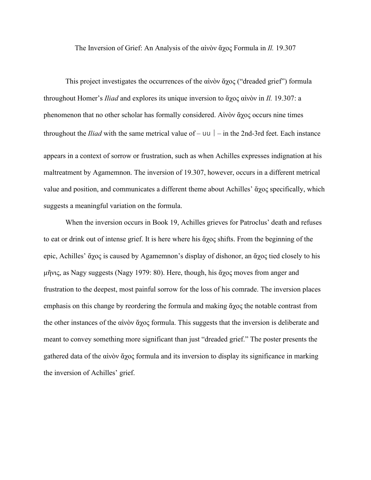The Inversion of Grief: An Analysis of the αἰνὸν ἄχος Formula in *Il.* 19.307

This project investigates the occurrences of the αἰνὸν ἄχος ("dreaded grief") formula throughout Homer's *Iliad* and explores its unique inversion to ἄχος αἰνὸν in *Il.* 19.307: a phenomenon that no other scholar has formally considered. Αἰνὸν ἄχος occurs nine times throughout the *Iliad* with the same metrical value of  $-$  uu  $|-$  in the 2nd-3rd feet. Each instance appears in a context of sorrow or frustration, such as when Achilles expresses indignation at his maltreatment by Agamemnon. The inversion of 19.307, however, occurs in a different metrical value and position, and communicates a different theme about Achilles' ἄχος specifically, which suggests a meaningful variation on the formula.

When the inversion occurs in Book 19, Achilles grieves for Patroclus' death and refuses to eat or drink out of intense grief. It is here where his ἄχος shifts. From the beginning of the epic, Achilles' ἄχος is caused by Agamemnon's display of dishonor, an ἄχος tied closely to his μῆνις, as Nagy suggests (Nagy 1979: 80). Here, though, his ἄχος moves from anger and frustration to the deepest, most painful sorrow for the loss of his comrade. The inversion places emphasis on this change by reordering the formula and making ἄχος the notable contrast from the other instances of the αἰνὸν ἄχος formula. This suggests that the inversion is deliberate and meant to convey something more significant than just "dreaded grief." The poster presents the gathered data of the αἰνὸν ἄχος formula and its inversion to display its significance in marking the inversion of Achilles' grief.